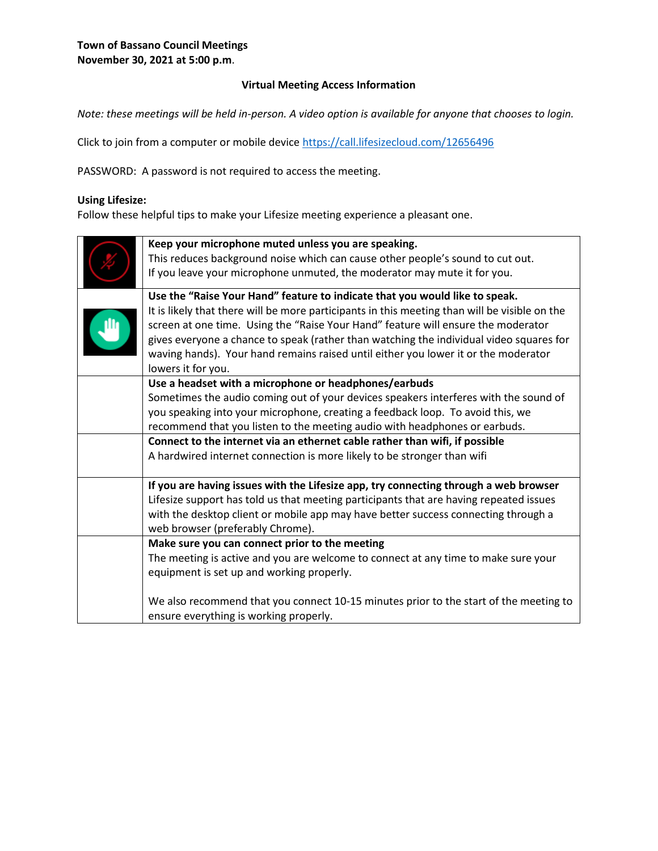## **Virtual Meeting Access Information**

*Note: these meetings will be held in-person. A video option is available for anyone that chooses to login.* 

Click to join from a computer or mobile device<https://call.lifesizecloud.com/12656496>

PASSWORD: A password is not required to access the meeting.

#### **Using Lifesize:**

Follow these helpful tips to make your Lifesize meeting experience a pleasant one.

| Keep your microphone muted unless you are speaking.<br>This reduces background noise which can cause other people's sound to cut out.<br>If you leave your microphone unmuted, the moderator may mute it for you.<br>Use the "Raise Your Hand" feature to indicate that you would like to speak.<br>It is likely that there will be more participants in this meeting than will be visible on the<br>screen at one time. Using the "Raise Your Hand" feature will ensure the moderator<br>gives everyone a chance to speak (rather than watching the individual video squares for<br>waving hands). Your hand remains raised until either you lower it or the moderator<br>lowers it for you.<br>Use a headset with a microphone or headphones/earbuds<br>Sometimes the audio coming out of your devices speakers interferes with the sound of<br>you speaking into your microphone, creating a feedback loop. To avoid this, we<br>recommend that you listen to the meeting audio with headphones or earbuds.<br>Connect to the internet via an ethernet cable rather than wifi, if possible<br>A hardwired internet connection is more likely to be stronger than wifi |  |
|--------------------------------------------------------------------------------------------------------------------------------------------------------------------------------------------------------------------------------------------------------------------------------------------------------------------------------------------------------------------------------------------------------------------------------------------------------------------------------------------------------------------------------------------------------------------------------------------------------------------------------------------------------------------------------------------------------------------------------------------------------------------------------------------------------------------------------------------------------------------------------------------------------------------------------------------------------------------------------------------------------------------------------------------------------------------------------------------------------------------------------------------------------------------------|--|
|                                                                                                                                                                                                                                                                                                                                                                                                                                                                                                                                                                                                                                                                                                                                                                                                                                                                                                                                                                                                                                                                                                                                                                          |  |
|                                                                                                                                                                                                                                                                                                                                                                                                                                                                                                                                                                                                                                                                                                                                                                                                                                                                                                                                                                                                                                                                                                                                                                          |  |
|                                                                                                                                                                                                                                                                                                                                                                                                                                                                                                                                                                                                                                                                                                                                                                                                                                                                                                                                                                                                                                                                                                                                                                          |  |
|                                                                                                                                                                                                                                                                                                                                                                                                                                                                                                                                                                                                                                                                                                                                                                                                                                                                                                                                                                                                                                                                                                                                                                          |  |
|                                                                                                                                                                                                                                                                                                                                                                                                                                                                                                                                                                                                                                                                                                                                                                                                                                                                                                                                                                                                                                                                                                                                                                          |  |
|                                                                                                                                                                                                                                                                                                                                                                                                                                                                                                                                                                                                                                                                                                                                                                                                                                                                                                                                                                                                                                                                                                                                                                          |  |
|                                                                                                                                                                                                                                                                                                                                                                                                                                                                                                                                                                                                                                                                                                                                                                                                                                                                                                                                                                                                                                                                                                                                                                          |  |
|                                                                                                                                                                                                                                                                                                                                                                                                                                                                                                                                                                                                                                                                                                                                                                                                                                                                                                                                                                                                                                                                                                                                                                          |  |
|                                                                                                                                                                                                                                                                                                                                                                                                                                                                                                                                                                                                                                                                                                                                                                                                                                                                                                                                                                                                                                                                                                                                                                          |  |
|                                                                                                                                                                                                                                                                                                                                                                                                                                                                                                                                                                                                                                                                                                                                                                                                                                                                                                                                                                                                                                                                                                                                                                          |  |
|                                                                                                                                                                                                                                                                                                                                                                                                                                                                                                                                                                                                                                                                                                                                                                                                                                                                                                                                                                                                                                                                                                                                                                          |  |
| If you are having issues with the Lifesize app, try connecting through a web browser                                                                                                                                                                                                                                                                                                                                                                                                                                                                                                                                                                                                                                                                                                                                                                                                                                                                                                                                                                                                                                                                                     |  |
| Lifesize support has told us that meeting participants that are having repeated issues                                                                                                                                                                                                                                                                                                                                                                                                                                                                                                                                                                                                                                                                                                                                                                                                                                                                                                                                                                                                                                                                                   |  |
| with the desktop client or mobile app may have better success connecting through a                                                                                                                                                                                                                                                                                                                                                                                                                                                                                                                                                                                                                                                                                                                                                                                                                                                                                                                                                                                                                                                                                       |  |
| web browser (preferably Chrome).                                                                                                                                                                                                                                                                                                                                                                                                                                                                                                                                                                                                                                                                                                                                                                                                                                                                                                                                                                                                                                                                                                                                         |  |
| Make sure you can connect prior to the meeting                                                                                                                                                                                                                                                                                                                                                                                                                                                                                                                                                                                                                                                                                                                                                                                                                                                                                                                                                                                                                                                                                                                           |  |
| The meeting is active and you are welcome to connect at any time to make sure your                                                                                                                                                                                                                                                                                                                                                                                                                                                                                                                                                                                                                                                                                                                                                                                                                                                                                                                                                                                                                                                                                       |  |
| equipment is set up and working properly.                                                                                                                                                                                                                                                                                                                                                                                                                                                                                                                                                                                                                                                                                                                                                                                                                                                                                                                                                                                                                                                                                                                                |  |
| We also recommend that you connect 10-15 minutes prior to the start of the meeting to<br>ensure everything is working properly.                                                                                                                                                                                                                                                                                                                                                                                                                                                                                                                                                                                                                                                                                                                                                                                                                                                                                                                                                                                                                                          |  |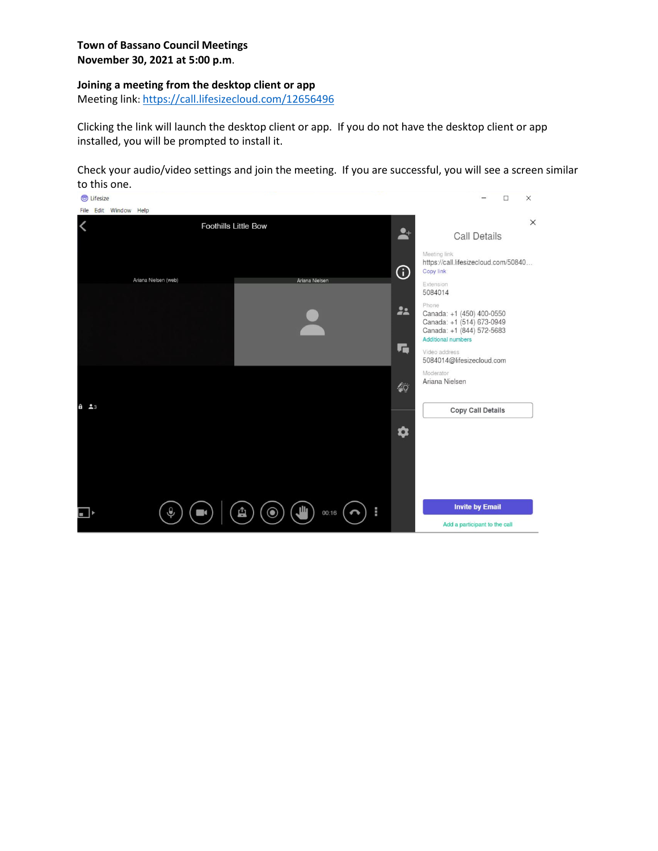#### **Town of Bassano Council Meetings November 30, 2021 at 5:00 p.m**.

#### **Joining a meeting from the desktop client or app**

Meeting link: <https://call.lifesizecloud.com/12656496>

Clicking the link will launch the desktop client or app. If you do not have the desktop client or app installed, you will be prompted to install it.

Check your audio/video settings and join the meeting. If you are successful, you will see a screen similar to this one.

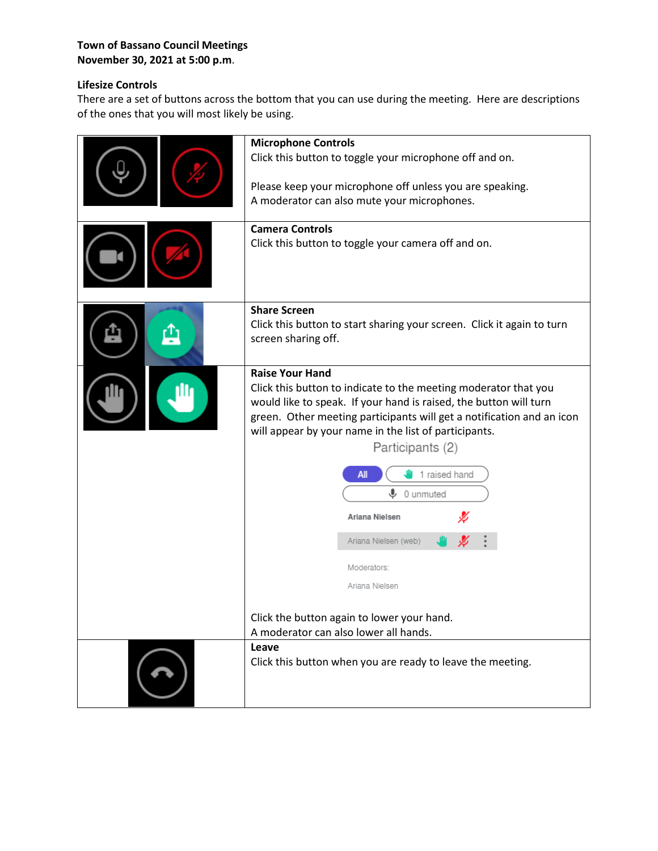## **Town of Bassano Council Meetings November 30, 2021 at 5:00 p.m**.

# **Lifesize Controls**

There are a set of buttons across the bottom that you can use during the meeting. Here are descriptions of the ones that you will most likely be using.

| <b>Microphone Controls</b><br>Click this button to toggle your microphone off and on.<br>Please keep your microphone off unless you are speaking.<br>A moderator can also mute your microphones.<br><b>Camera Controls</b><br>Click this button to toggle your camera off and on.                                                                                                                                                              |
|------------------------------------------------------------------------------------------------------------------------------------------------------------------------------------------------------------------------------------------------------------------------------------------------------------------------------------------------------------------------------------------------------------------------------------------------|
| <b>Share Screen</b><br>Click this button to start sharing your screen. Click it again to turn<br>screen sharing off.                                                                                                                                                                                                                                                                                                                           |
| <b>Raise Your Hand</b><br>Click this button to indicate to the meeting moderator that you<br>would like to speak. If your hand is raised, the button will turn<br>green. Other meeting participants will get a notification and an icon<br>will appear by your name in the list of participants.<br>Participants (2)<br>1 raised hand<br>All<br>$\bigcup$ 0 unmuted<br>Ariana Nielsen<br>Ariana Nielsen (web)<br>Moderators:<br>Ariana Nielsen |
| Click the button again to lower your hand.<br>A moderator can also lower all hands.                                                                                                                                                                                                                                                                                                                                                            |
| Leave<br>Click this button when you are ready to leave the meeting.                                                                                                                                                                                                                                                                                                                                                                            |